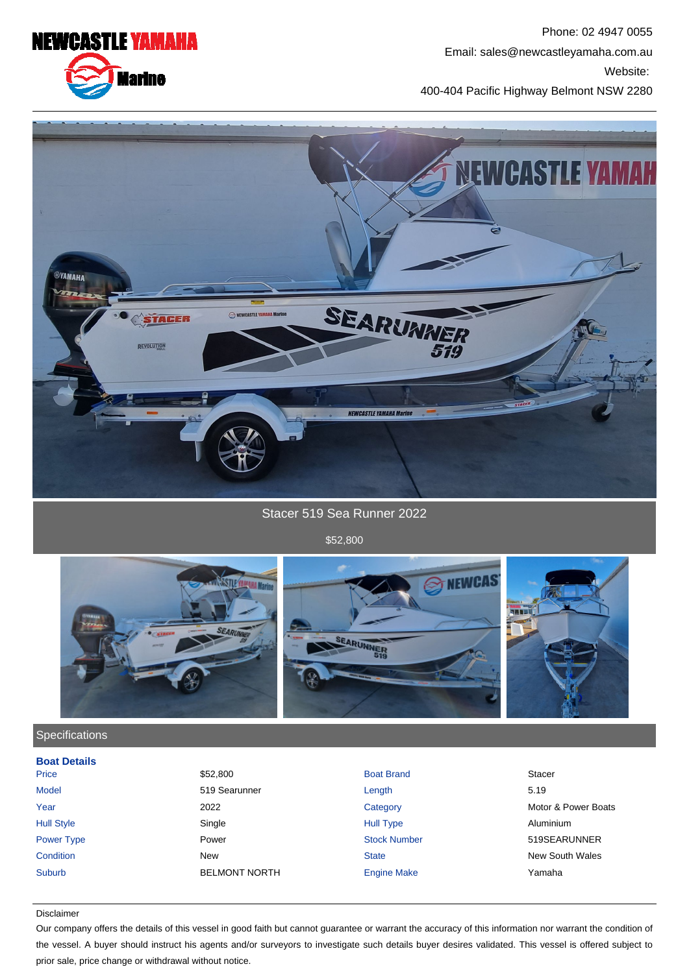NEWCASTLE YAMAHA

**Marine** 



400-404 Pacific Highway Belmont NSW 2280



Stacer 519 Sea Runner 2022

\$52,800



## **Specifications**

| <b>Boat Details</b> |                      |                     |                        |
|---------------------|----------------------|---------------------|------------------------|
| Price               | \$52,800             | <b>Boat Brand</b>   | <b>Stacer</b>          |
| <b>Model</b>        | 519 Searunner        | Length              | 5.19                   |
| Year                | 2022                 | Category            | Motor & Power Boats    |
| <b>Hull Style</b>   | Single               | <b>Hull Type</b>    | Aluminium              |
| Power Type          | Power                | <b>Stock Number</b> | 519SEARUNNER           |
| Condition           | <b>New</b>           | <b>State</b>        | <b>New South Wales</b> |
| <b>Suburb</b>       | <b>BELMONT NORTH</b> | <b>Engine Make</b>  | Yamaha                 |
|                     |                      |                     |                        |

### Disclaimer

Our company offers the details of this vessel in good faith but cannot guarantee or warrant the accuracy of this information nor warrant the condition of the vessel. A buyer should instruct his agents and/or surveyors to investigate such details buyer desires validated. This vessel is offered subject to prior sale, price change or withdrawal without notice.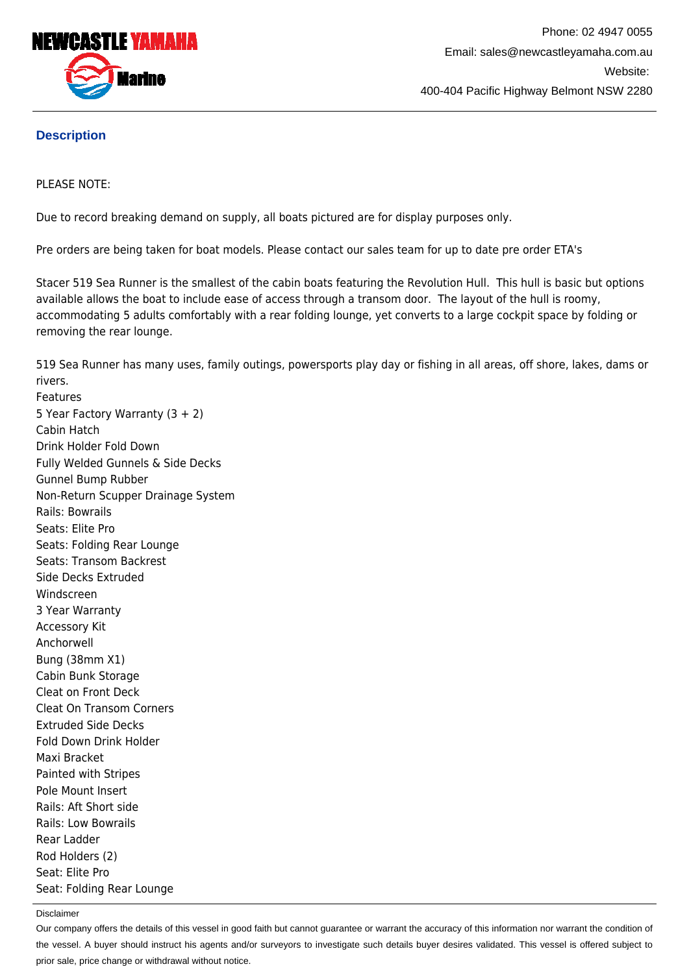

# **Description**

## PLEASE NOTE:

Due to record breaking demand on supply, all boats pictured are for display purposes only.

Pre orders are being taken for boat models. Please contact our sales team for up to date pre order ETA's

Stacer 519 Sea Runner is the smallest of the cabin boats featuring the Revolution Hull. This hull is basic but options available allows the boat to include ease of access through a transom door. The layout of the hull is roomy, accommodating 5 adults comfortably with a rear folding lounge, yet converts to a large cockpit space by folding or removing the rear lounge.

519 Sea Runner has many uses, family outings, powersports play day or fishing in all areas, off shore, lakes, dams or rivers. Features 5 Year Factory Warranty (3 + 2) Cabin Hatch Drink Holder Fold Down Fully Welded Gunnels & Side Decks Gunnel Bump Rubber Non-Return Scupper Drainage System Rails: Bowrails Seats: Elite Pro Seats: Folding Rear Lounge Seats: Transom Backrest Side Decks Extruded Windscreen 3 Year Warranty Accessory Kit Anchorwell Bung (38mm X1) Cabin Bunk Storage Cleat on Front Deck Cleat On Transom Corners Extruded Side Decks Fold Down Drink Holder Maxi Bracket Painted with Stripes Pole Mount Insert Rails: Aft Short side Rails: Low Bowrails Rear Ladder

Rod Holders (2) Seat: Elite Pro Seat: Folding Rear Lounge

### Disclaimer

Our company offers the details of this vessel in good faith but cannot guarantee or warrant the accuracy of this information nor warrant the condition of the vessel. A buyer should instruct his agents and/or surveyors to investigate such details buyer desires validated. This vessel is offered subject to prior sale, price change or withdrawal without notice.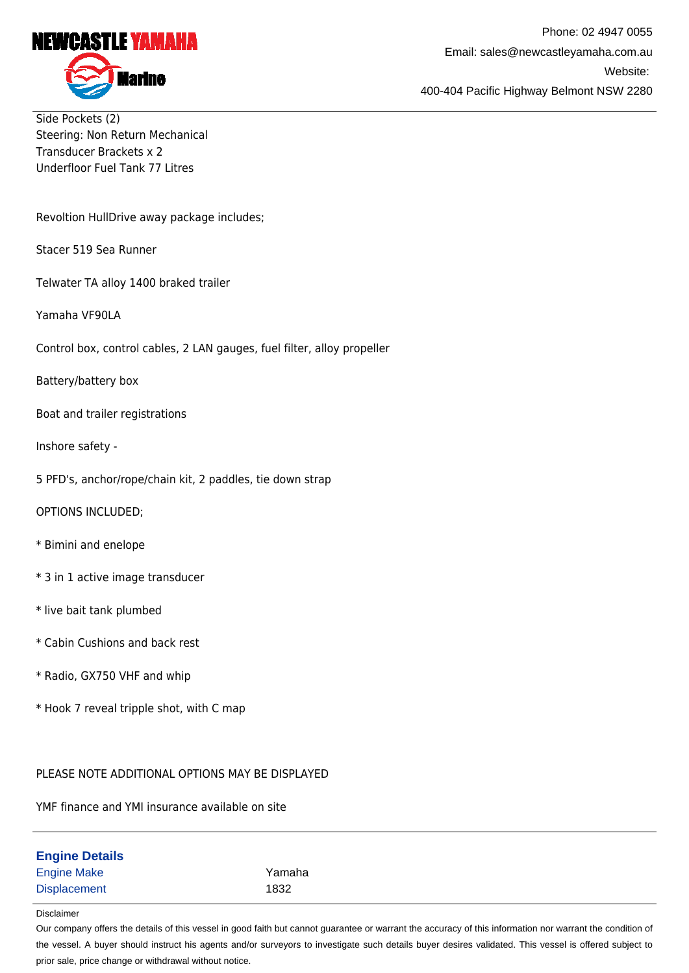

Side Pockets (2) Steering: Non Return Mechanical Transducer Brackets x 2 Underfloor Fuel Tank 77 Litres

Revoltion HullDrive away package includes;

Stacer 519 Sea Runner

Telwater TA alloy 1400 braked trailer

Yamaha VF90LA

Control box, control cables, 2 LAN gauges, fuel filter, alloy propeller

Battery/battery box

Boat and trailer registrations

Inshore safety -

5 PFD's, anchor/rope/chain kit, 2 paddles, tie down strap

OPTIONS INCLUDED;

- \* Bimini and enelope
- \* 3 in 1 active image transducer
- \* live bait tank plumbed
- \* Cabin Cushions and back rest
- \* Radio, GX750 VHF and whip
- \* Hook 7 reveal tripple shot, with C map

### PLEASE NOTE ADDITIONAL OPTIONS MAY BE DISPLAYED

YMF finance and YMI insurance available on site

| <b>Engine Details</b> |        |
|-----------------------|--------|
| <b>Engine Make</b>    | Yamaha |
| Displacement          | 1832   |

#### Disclaimer

Our company offers the details of this vessel in good faith but cannot guarantee or warrant the accuracy of this information nor warrant the condition of the vessel. A buyer should instruct his agents and/or surveyors to investigate such details buyer desires validated. This vessel is offered subject to prior sale, price change or withdrawal without notice.